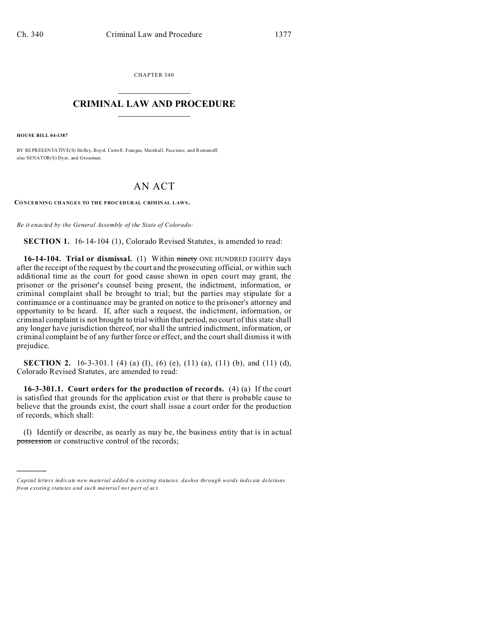CHAPTER 340  $\overline{\phantom{a}}$  , where  $\overline{\phantom{a}}$ 

## **CRIMINAL LAW AND PROCEDURE**  $\_$   $\_$   $\_$   $\_$   $\_$   $\_$   $\_$   $\_$   $\_$

**HOUSE BILL 04-1387**

)))))

BY REPRESENTATIVE(S) Hefley, Boyd, Carro ll, Fran gas, Ma rshall, Paccion e, and Romanoff; also SENATOR(S) Dyer, and Grossman.

## AN ACT

**CONCERNING CHANGES TO THE PROCEDURAL CRIMINAL LAWS.**

*Be it enacted by the General Assembly of the State of Colorado:*

**SECTION 1.** 16-14-104 (1), Colorado Revised Statutes, is amended to read:

**16-14-104. Trial or dismissal.** (1) Within *ninety* ONE HUNDRED EIGHTY days after the receipt of the request by the court and the prosecuting official, or within such additional time as the court for good cause shown in open court may grant, the prisoner or the prisoner's counsel being present, the indictment, information, or criminal complaint shall be brought to trial; but the parties may stipulate for a continuance or a continuance may be granted on notice to the prisoner's attorney and opportunity to be heard. If, after such a request, the indictment, information, or criminal complaint is not brought to trial within that period, no court of this state shall any longer have jurisdiction thereof, nor shall the untried indictment, information, or criminal complaint be of any further force or effect, and the court shall dismiss it with prejudice.

**SECTION 2.** 16-3-301.1 (4) (a) (I), (6) (e), (11) (a), (11) (b), and (11) (d), Colorado Revised Statutes, are amended to read:

**16-3-301.1. Court orders for the production of records.** (4) (a) If the court is satisfied that grounds for the application exist or that there is probable cause to believe that the grounds exist, the court shall issue a court order for the production of records, which shall:

(I) Identify or describe, as nearly as may be, the business entity that is in actual possession or constructive control of the records;

*Capital letters indicate new material added to existing statutes; dashes through words indicate deletions from e xistin g statu tes a nd such ma teria l no t pa rt of ac t.*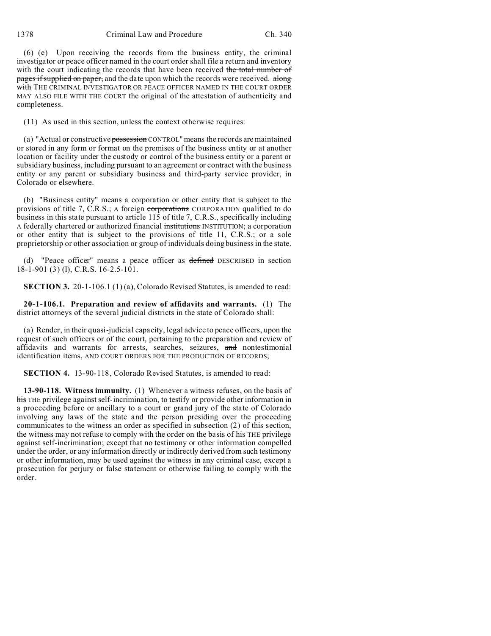(6) (e) Upon receiving the records from the business entity, the criminal investigator or peace officer named in the court order shall file a return and inventory with the court indicating the records that have been received the total number of pages if supplied on paper, and the date upon which the records were received. along with THE CRIMINAL INVESTIGATOR OR PEACE OFFICER NAMED IN THE COURT ORDER MAY ALSO FILE WITH THE COURT the original of the attestation of authenticity and completeness.

(11) As used in this section, unless the context otherwise requires:

(a) "Actual or constructive possession CONTROL" means the records are maintained or stored in any form or format on the premises of the business entity or at another location or facility under the custody or control of the business entity or a parent or subsidiary business, including pursuant to an agreement or contract with the business entity or any parent or subsidiary business and third-party service provider, in Colorado or elsewhere.

(b) "Business entity" means a corporation or other entity that is subject to the provisions of title 7, C.R.S.; A foreign corporations CORPORATION qualified to do business in this state pursuant to article 115 of title 7, C.R.S., specifically including A federally chartered or authorized financial institutions INSTITUTION; a corporation or other entity that is subject to the provisions of title 11, C.R.S.; or a sole proprietorship or other association or group of individuals doing business in the state.

(d) "Peace officer" means a peace officer as defined DESCRIBED in section 18-1-901 (3) (1), C.R.S. 16-2.5-101.

**SECTION 3.** 20-1-106.1 (1) (a), Colorado Revised Statutes, is amended to read:

**20-1-106.1. Preparation and review of affidavits and warrants.** (1) The district attorneys of the several judicial districts in the state of Colorado shall:

(a) Render, in their quasi-judicial capacity, legal advice to peace officers, upon the request of such officers or of the court, pertaining to the preparation and review of affidavits and warrants for arrests, searches, seizures, and nontestimonial identification items, AND COURT ORDERS FOR THE PRODUCTION OF RECORDS;

**SECTION 4.** 13-90-118, Colorado Revised Statutes, is amended to read:

**13-90-118. Witness immunity.** (1) Whenever a witness refuses, on the basis of his THE privilege against self-incrimination, to testify or provide other information in a proceeding before or ancillary to a court or grand jury of the state of Colorado involving any laws of the state and the person presiding over the proceeding communicates to the witness an order as specified in subsection (2) of this section, the witness may not refuse to comply with the order on the basis of his THE privilege against self-incrimination; except that no testimony or other information compelled under the order, or any information directly or indirectly derived from such testimony or other information, may be used against the witness in any criminal case, except a prosecution for perjury or false statement or otherwise failing to comply with the order.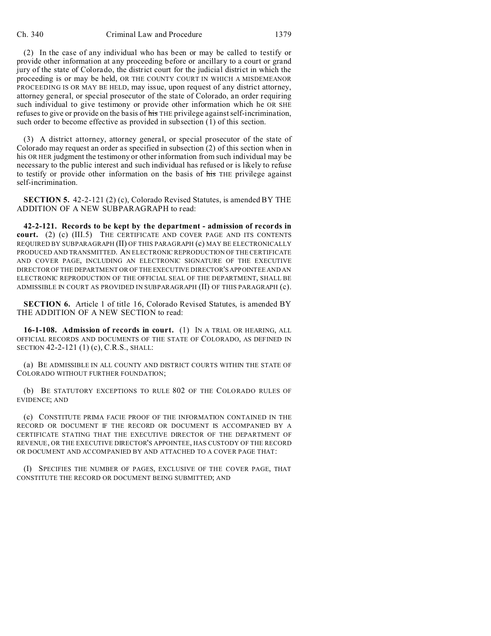(2) In the case of any individual who has been or may be called to testify or provide other information at any proceeding before or ancillary to a court or grand jury of the state of Colorado, the district court for the judicial district in which the proceeding is or may be held, OR THE COUNTY COURT IN WHICH A MISDEMEANOR PROCEEDING IS OR MAY BE HELD, may issue, upon request of any district attorney, attorney general, or special prosecutor of the state of Colorado, an order requiring such individual to give testimony or provide other information which he OR SHE refuses to give or provide on the basis of his THE privilege against self-incrimination, such order to become effective as provided in subsection (1) of this section.

(3) A district attorney, attorney general, or special prosecutor of the state of Colorado may request an order as specified in subsection (2) of this section when in his OR HER judgment the testimony or other information from such individual may be necessary to the public interest and such individual has refused or is likely to refuse to testify or provide other information on the basis of his THE privilege against self-incrimination.

**SECTION 5.** 42-2-121 (2) (c), Colorado Revised Statutes, is amended BY THE ADDITION OF A NEW SUBPARAGRAPH to read:

**42-2-121. Records to be kept by the department - admission of records in court.** (2) (c) (III.5) THE CERTIFICATE AND COVER PAGE AND ITS CONTENTS REQUIRED BY SUBPARAGRAPH (II) OF THIS PARAGRAPH (c) MAY BE ELECTRONICALLY PRODUCED AND TRANSMITTED. AN ELECTRONIC REPRODUCTION OF THE CERTIFICATE AND COVER PAGE, INCLUDING AN ELECTRONIC SIGNATURE OF THE EXECUTIVE DIRECTOR OF THE DEPARTMENT OR OF THE EXECUTIVE DIRECTOR'S APPOINTEE AND AN ELECTRONIC REPRODUCTION OF THE OFFICIAL SEAL OF THE DEPARTMENT, SHALL BE ADMISSIBLE IN COURT AS PROVIDED IN SUBPARAGRAPH (II) OF THIS PARAGRAPH (c).

**SECTION 6.** Article 1 of title 16, Colorado Revised Statutes, is amended BY THE ADDITION OF A NEW SECTION to read:

**16-1-108. Admission of records in court.** (1) IN A TRIAL OR HEARING, ALL OFFICIAL RECORDS AND DOCUMENTS OF THE STATE OF COLORADO, AS DEFINED IN SECTION 42-2-121 (1) (c), C.R.S., SHALL:

(a) BE ADMISSIBLE IN ALL COUNTY AND DISTRICT COURTS WITHIN THE STATE OF COLORADO WITHOUT FURTHER FOUNDATION;

(b) BE STATUTORY EXCEPTIONS TO RULE 802 OF THE COLORADO RULES OF EVIDENCE; AND

(c) CONSTITUTE PRIMA FACIE PROOF OF THE INFORMATION CONTAINED IN THE RECORD OR DOCUMENT IF THE RECORD OR DOCUMENT IS ACCOMPANIED BY A CERTIFICATE STATING THAT THE EXECUTIVE DIRECTOR OF THE DEPARTMENT OF REVENUE, OR THE EXECUTIVE DIRECTOR'S APPOINTEE, HAS CUSTODY OF THE RECORD OR DOCUMENT AND ACCOMPANIED BY AND ATTACHED TO A COVER PAGE THAT:

(I) SPECIFIES THE NUMBER OF PAGES, EXCLUSIVE OF THE COVER PAGE, THAT CONSTITUTE THE RECORD OR DOCUMENT BEING SUBMITTED; AND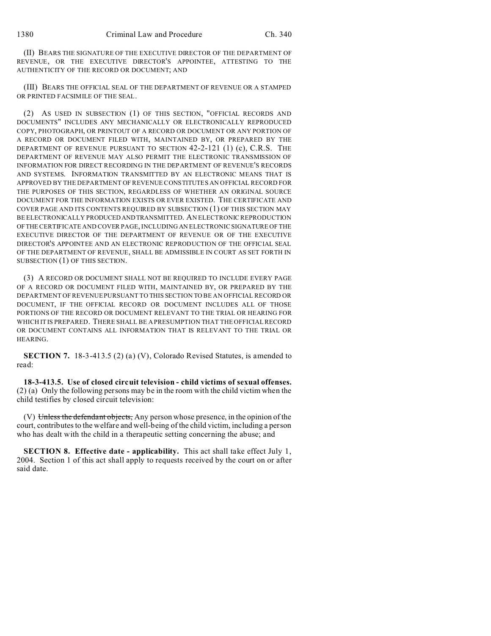(II) BEARS THE SIGNATURE OF THE EXECUTIVE DIRECTOR OF THE DEPARTMENT OF REVENUE, OR THE EXECUTIVE DIRECTOR'S APPOINTEE, ATTESTING TO THE AUTHENTICITY OF THE RECORD OR DOCUMENT; AND

(III) BEARS THE OFFICIAL SEAL OF THE DEPARTMENT OF REVENUE OR A STAMPED OR PRINTED FACSIMILE OF THE SEAL.

(2) AS USED IN SUBSECTION (1) OF THIS SECTION, "OFFICIAL RECORDS AND DOCUMENTS" INCLUDES ANY MECHANICALLY OR ELECTRONICALLY REPRODUCED COPY, PHOTOGRAPH, OR PRINTOUT OF A RECORD OR DOCUMENT OR ANY PORTION OF A RECORD OR DOCUMENT FILED WITH, MAINTAINED BY, OR PREPARED BY THE DEPARTMENT OF REVENUE PURSUANT TO SECTION 42-2-121 (1) (c), C.R.S. THE DEPARTMENT OF REVENUE MAY ALSO PERMIT THE ELECTRONIC TRANSMISSION OF INFORMATION FOR DIRECT RECORDING IN THE DEPARTMENT OF REVENUE'S RECORDS AND SYSTEMS. INFORMATION TRANSMITTED BY AN ELECTRONIC MEANS THAT IS APPROVED BY THE DEPARTMENT OF REVENUE CONSTITUTES AN OFFICIAL RECORD FOR THE PURPOSES OF THIS SECTION, REGARDLESS OF WHETHER AN ORIGINAL SOURCE DOCUMENT FOR THE INFORMATION EXISTS OR EVER EXISTED. THE CERTIFICATE AND COVER PAGE AND ITS CONTENTS REQUIRED BY SUBSECTION (1) OF THIS SECTION MAY BE ELECTRONICALLY PRODUCEDANDTRANSMITTED. AN ELECTRONIC REPRODUCTION OFTHE CERTIFICATE AND COVER PAGE, INCLUDING AN ELECTRONIC SIGNATURE OF THE EXECUTIVE DIRECTOR OF THE DEPARTMENT OF REVENUE OR OF THE EXECUTIVE DIRECTOR'S APPOINTEE AND AN ELECTRONIC REPRODUCTION OF THE OFFICIAL SEAL OF THE DEPARTMENT OF REVENUE, SHALL BE ADMISSIBLE IN COURT AS SET FORTH IN SUBSECTION (1) OF THIS SECTION.

(3) A RECORD OR DOCUMENT SHALL NOT BE REQUIRED TO INCLUDE EVERY PAGE OF A RECORD OR DOCUMENT FILED WITH, MAINTAINED BY, OR PREPARED BY THE DEPARTMENT OF REVENUE PURSUANT TO THIS SECTION TO BE AN OFFICIAL RECORD OR DOCUMENT, IF THE OFFICIAL RECORD OR DOCUMENT INCLUDES ALL OF THOSE PORTIONS OF THE RECORD OR DOCUMENT RELEVANT TO THE TRIAL OR HEARING FOR WHICH IT IS PREPARED. THERE SHALL BE A PRESUMPTION THAT THE OFFICIAL RECORD OR DOCUMENT CONTAINS ALL INFORMATION THAT IS RELEVANT TO THE TRIAL OR HEARING.

**SECTION 7.** 18-3-413.5 (2) (a) (V), Colorado Revised Statutes, is amended to read:

**18-3-413.5. Use of closed circuit television - child victims of sexual offenses.** (2) (a) Only the following persons may be in the room with the child victim when the child testifies by closed circuit television:

(V) Unless the defendant objects, Any person whose presence, in the opinion of the court, contributes to the welfare and well-being of the child victim, including a person who has dealt with the child in a therapeutic setting concerning the abuse; and

**SECTION 8. Effective date - applicability.** This act shall take effect July 1, 2004. Section 1 of this act shall apply to requests received by the court on or after said date.